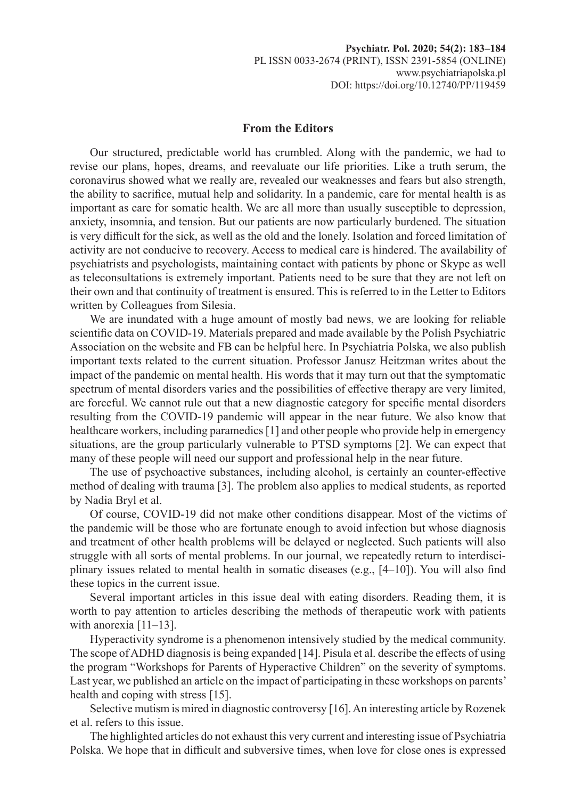## **From the Editors**

Our structured, predictable world has crumbled. Along with the pandemic, we had to revise our plans, hopes, dreams, and reevaluate our life priorities. Like a truth serum, the coronavirus showed what we really are, revealed our weaknesses and fears but also strength, the ability to sacrifice, mutual help and solidarity. In a pandemic, care for mental health is as important as care for somatic health. We are all more than usually susceptible to depression, anxiety, insomnia, and tension. But our patients are now particularly burdened. The situation is very difficult for the sick, as well as the old and the lonely. Isolation and forced limitation of activity are not conducive to recovery. Access to medical care is hindered. The availability of psychiatrists and psychologists, maintaining contact with patients by phone or Skype as well as teleconsultations is extremely important. Patients need to be sure that they are not left on their own and that continuity of treatment is ensured. This is referred to in the Letter to Editors written by Colleagues from Silesia.

We are inundated with a huge amount of mostly bad news, we are looking for reliable scientific data on COVID-19. Materials prepared and made available by the Polish Psychiatric Association on the website and FB can be helpful here. In Psychiatria Polska, we also publish important texts related to the current situation. Professor Janusz Heitzman writes about the impact of the pandemic on mental health. His words that it may turn out that the symptomatic spectrum of mental disorders varies and the possibilities of effective therapy are very limited, are forceful. We cannot rule out that a new diagnostic category for specific mental disorders resulting from the COVID-19 pandemic will appear in the near future. We also know that healthcare workers, including paramedics [1] and other people who provide help in emergency situations, are the group particularly vulnerable to PTSD symptoms [2]. We can expect that many of these people will need our support and professional help in the near future.

The use of psychoactive substances, including alcohol, is certainly an counter-effective method of dealing with trauma [3]. The problem also applies to medical students, as reported by Nadia Bryl et al.

Of course, COVID-19 did not make other conditions disappear. Most of the victims of the pandemic will be those who are fortunate enough to avoid infection but whose diagnosis and treatment of other health problems will be delayed or neglected. Such patients will also struggle with all sorts of mental problems. In our journal, we repeatedly return to interdisciplinary issues related to mental health in somatic diseases (e.g., [4–10]). You will also find these topics in the current issue.

Several important articles in this issue deal with eating disorders. Reading them, it is worth to pay attention to articles describing the methods of therapeutic work with patients with anorexia [11–13].

Hyperactivity syndrome is a phenomenon intensively studied by the medical community. The scope of ADHD diagnosis is being expanded [14]. Pisula et al. describe the effects of using the program "Workshops for Parents of Hyperactive Children" on the severity of symptoms. Last year, we published an article on the impact of participating in these workshops on parents' health and coping with stress [15].

Selective mutism is mired in diagnostic controversy [16]. An interesting article by Rozenek et al. refers to this issue.

The highlighted articles do not exhaust this very current and interesting issue of Psychiatria Polska. We hope that in difficult and subversive times, when love for close ones is expressed